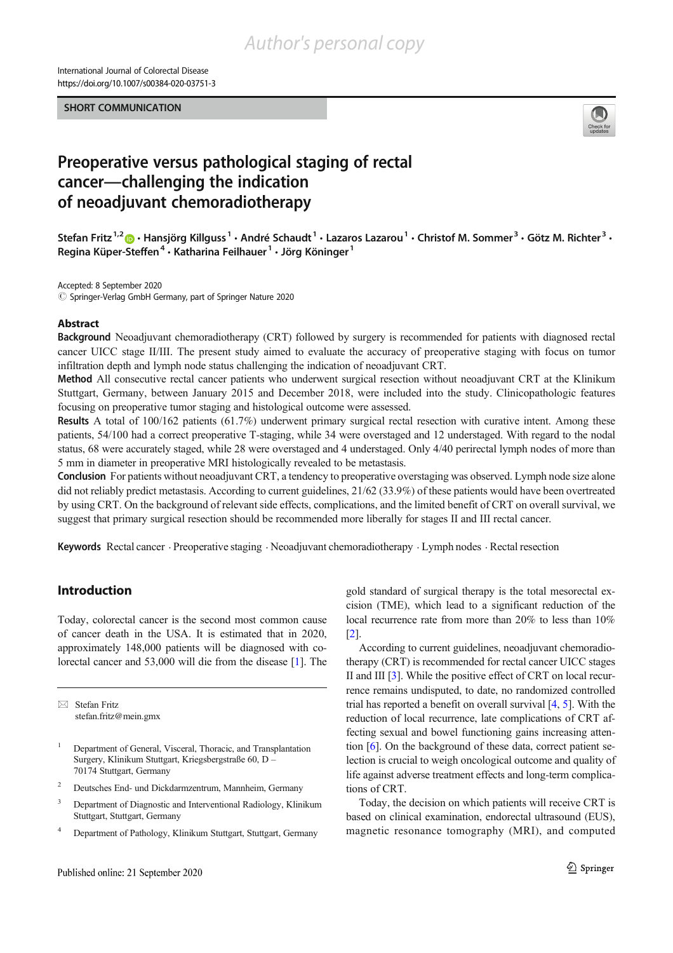International Journal of Colorectal Disease https://doi.org/10.1007/s00384-020-03751-3

SHORT COMMUNICATION



# Preoperative versus pathological staging of rectal cancer—challenging the indication of neoadjuvant chemoradiotherapy

Stefan Fritz<sup>1,2</sup>  $\bullet$  · Hansjörg Killguss<sup>1</sup> · André Schaudt<sup>1</sup> · Lazaros Lazarou<sup>1</sup> · Christof M. Sommer<sup>3</sup> · Götz M. Richter<sup>3</sup> · Regina Küper-Steffen<sup>4</sup> · Katharina Feilhauer<sup>1</sup> · Jörg Köninger<sup>1</sup>

Accepted: 8 September 2020

 $\circled{c}$  Springer-Verlag GmbH Germany, part of Springer Nature 2020

#### Abstract

Background Neoadjuvant chemoradiotherapy (CRT) followed by surgery is recommended for patients with diagnosed rectal cancer UICC stage II/III. The present study aimed to evaluate the accuracy of preoperative staging with focus on tumor infiltration depth and lymph node status challenging the indication of neoadjuvant CRT.

Method All consecutive rectal cancer patients who underwent surgical resection without neoadjuvant CRT at the Klinikum Stuttgart, Germany, between January 2015 and December 2018, were included into the study. Clinicopathologic features focusing on preoperative tumor staging and histological outcome were assessed.

Results A total of 100/162 patients (61.7%) underwent primary surgical rectal resection with curative intent. Among these patients, 54/100 had a correct preoperative T-staging, while 34 were overstaged and 12 understaged. With regard to the nodal status, 68 were accurately staged, while 28 were overstaged and 4 understaged. Only 4/40 perirectal lymph nodes of more than 5 mm in diameter in preoperative MRI histologically revealed to be metastasis.

Conclusion For patients without neoadjuvant CRT, a tendency to preoperative overstaging was observed. Lymph node size alone did not reliably predict metastasis. According to current guidelines, 21/62 (33.9%) of these patients would have been overtreated by using CRT. On the background of relevant side effects, complications, and the limited benefit of CRT on overall survival, we suggest that primary surgical resection should be recommended more liberally for stages II and III rectal cancer.

Keywords Rectal cancer . Preoperative staging . Neoadjuvant chemoradiotherapy . Lymph nodes . Rectal resection

# Introduction

Today, colorectal cancer is the second most common cause of cancer death in the USA. It is estimated that in 2020, approximately 148,000 patients will be diagnosed with colorectal cancer and 53,000 will die from the disease [1]. The

 $\boxtimes$  Stefan Fritz stefan.fritz@mein.gmx

- <sup>2</sup> Deutsches End- und Dickdarmzentrum, Mannheim, Germany
- <sup>3</sup> Department of Diagnostic and Interventional Radiology, Klinikum Stuttgart, Stuttgart, Germany
- <sup>4</sup> Department of Pathology, Klinikum Stuttgart, Stuttgart, Germany

gold standard of surgical therapy is the total mesorectal excision (TME), which lead to a significant reduction of the local recurrence rate from more than 20% to less than 10% [2].

According to current guidelines, neoadjuvant chemoradiotherapy (CRT) is recommended for rectal cancer UICC stages II and III [3]. While the positive effect of CRT on local recurrence remains undisputed, to date, no randomized controlled trial has reported a benefit on overall survival [4, 5]. With the reduction of local recurrence, late complications of CRT affecting sexual and bowel functioning gains increasing attention [6]. On the background of these data, correct patient selection is crucial to weigh oncological outcome and quality of life against adverse treatment effects and long-term complications of CRT.

Today, the decision on which patients will receive CRT is based on clinical examination, endorectal ultrasound (EUS), magnetic resonance tomography (MRI), and computed

<sup>&</sup>lt;sup>1</sup> Department of General, Visceral, Thoracic, and Transplantation Surgery, Klinikum Stuttgart, Kriegsbergstraße 60, D – 70174 Stuttgart, Germany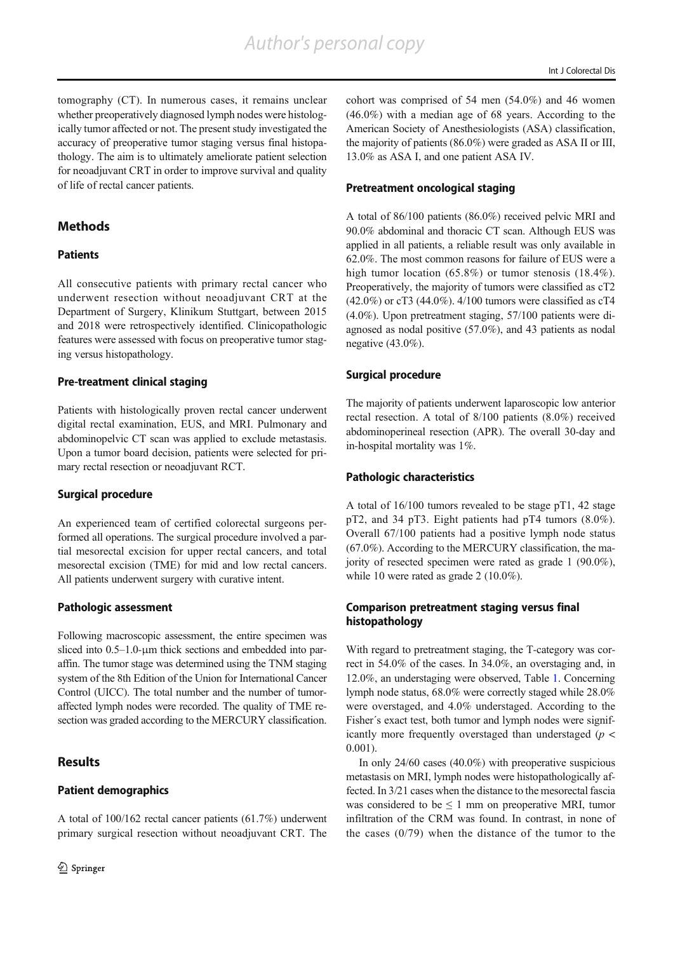tomography (CT). In numerous cases, it remains unclear whether preoperatively diagnosed lymph nodes were histologically tumor affected or not. The present study investigated the accuracy of preoperative tumor staging versus final histopathology. The aim is to ultimately ameliorate patient selection for neoadjuvant CRT in order to improve survival and quality of life of rectal cancer patients.

## **Methods**

## Patients

All consecutive patients with primary rectal cancer who underwent resection without neoadjuvant CRT at the Department of Surgery, Klinikum Stuttgart, between 2015 and 2018 were retrospectively identified. Clinicopathologic features were assessed with focus on preoperative tumor staging versus histopathology.

#### Pre-treatment clinical staging

Patients with histologically proven rectal cancer underwent digital rectal examination, EUS, and MRI. Pulmonary and abdominopelvic CT scan was applied to exclude metastasis. Upon a tumor board decision, patients were selected for primary rectal resection or neoadjuvant RCT.

#### Surgical procedure

An experienced team of certified colorectal surgeons performed all operations. The surgical procedure involved a partial mesorectal excision for upper rectal cancers, and total mesorectal excision (TME) for mid and low rectal cancers. All patients underwent surgery with curative intent.

## Pathologic assessment

Following macroscopic assessment, the entire specimen was sliced into 0.5–1.0-μm thick sections and embedded into paraffin. The tumor stage was determined using the TNM staging system of the 8th Edition of the Union for International Cancer Control (UICC). The total number and the number of tumoraffected lymph nodes were recorded. The quality of TME resection was graded according to the MERCURY classification.

## **Results**

## Patient demographics

A total of 100/162 rectal cancer patients (61.7%) underwent primary surgical resection without neoadjuvant CRT. The cohort was comprised of 54 men (54.0%) and 46 women (46.0%) with a median age of 68 years. According to the American Society of Anesthesiologists (ASA) classification, the majority of patients (86.0%) were graded as ASA II or III, 13.0% as ASA I, and one patient ASA IV.

#### Pretreatment oncological staging

A total of 86/100 patients (86.0%) received pelvic MRI and 90.0% abdominal and thoracic CT scan. Although EUS was applied in all patients, a reliable result was only available in 62.0%. The most common reasons for failure of EUS were a high tumor location (65.8%) or tumor stenosis (18.4%). Preoperatively, the majority of tumors were classified as cT2 (42.0%) or cT3 (44.0%). 4/100 tumors were classified as cT4 (4.0%). Upon pretreatment staging, 57/100 patients were diagnosed as nodal positive (57.0%), and 43 patients as nodal negative (43.0%).

## Surgical procedure

The majority of patients underwent laparoscopic low anterior rectal resection. A total of 8/100 patients (8.0%) received abdominoperineal resection (APR). The overall 30-day and in-hospital mortality was 1%.

#### Pathologic characteristics

A total of 16/100 tumors revealed to be stage pT1, 42 stage pT2, and 34 pT3. Eight patients had pT4 tumors (8.0%). Overall 67/100 patients had a positive lymph node status (67.0%). According to the MERCURY classification, the majority of resected specimen were rated as grade 1 (90.0%), while 10 were rated as grade 2 (10.0%).

## Comparison pretreatment staging versus final histopathology

With regard to pretreatment staging, the T-category was correct in 54.0% of the cases. In 34.0%, an overstaging and, in 12.0%, an understaging were observed, Table 1. Concerning lymph node status, 68.0% were correctly staged while 28.0% were overstaged, and 4.0% understaged. According to the Fisher´s exact test, both tumor and lymph nodes were significantly more frequently overstaged than understaged ( $p <$ 0.001).

In only 24/60 cases (40.0%) with preoperative suspicious metastasis on MRI, lymph nodes were histopathologically affected. In 3/21 cases when the distance to the mesorectal fascia was considered to be  $\leq 1$  mm on preoperative MRI, tumor infiltration of the CRM was found. In contrast, in none of the cases  $(0/79)$  when the distance of the tumor to the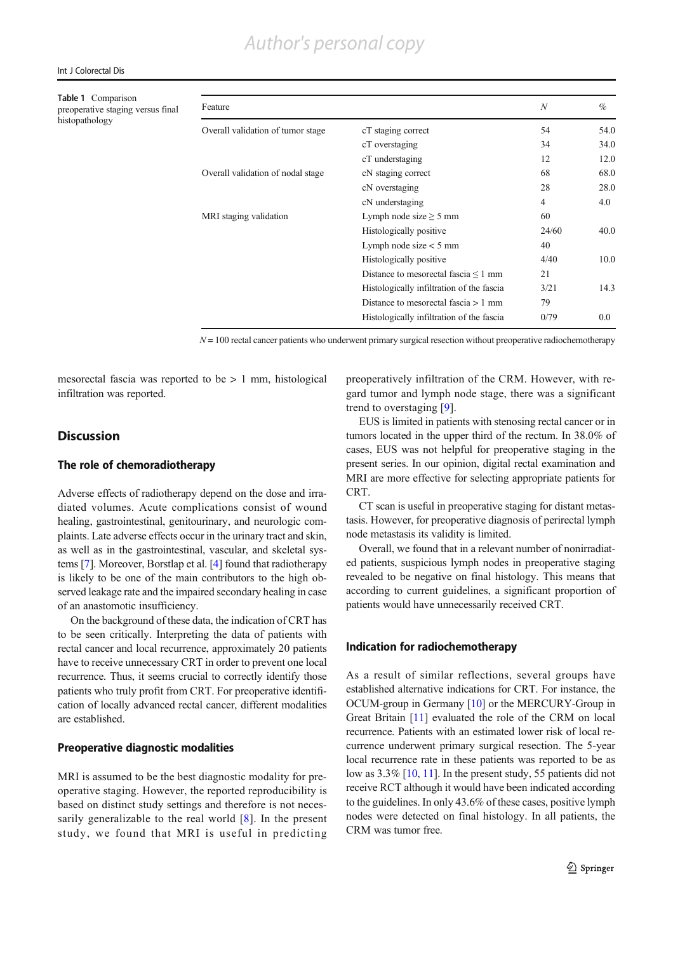#### Int J Colorectal Dis

Table 1 Comparison preoperative staging versus final histopathology

| Feature                           |                                           | $\boldsymbol{N}$ | $\%$ |
|-----------------------------------|-------------------------------------------|------------------|------|
| Overall validation of tumor stage | cT staging correct                        | 54               | 54.0 |
|                                   | cT overstaging                            | 34               | 34.0 |
|                                   | cT understaging                           | 12               | 12.0 |
| Overall validation of nodal stage | cN staging correct                        | 68               | 68.0 |
|                                   | cN overstaging                            | 28               | 28.0 |
|                                   | cN understaging                           | 4                | 4.0  |
| MRI staging validation            | Lymph node size $\geq$ 5 mm               | 60               |      |
|                                   | Histologically positive                   | 24/60            | 40.0 |
|                                   | Lymph node size $<$ 5 mm                  | 40               |      |
|                                   | Histologically positive                   | 4/40             | 10.0 |
|                                   | Distance to mesorectal fascia $\leq 1$ mm | 21               |      |
|                                   | Histologically infiltration of the fascia | 3/21             | 14.3 |
|                                   | Distance to mesorectal fascia $> 1$ mm    | 79               |      |
|                                   | Histologically infiltration of the fascia | 0/79             | 0.0  |
|                                   |                                           |                  |      |

 $N = 100$  rectal cancer patients who underwent primary surgical resection without preoperative radiochemotherapy

mesorectal fascia was reported to be > 1 mm, histological infiltration was reported.

## **Discussion**

#### The role of chemoradiotherapy

Adverse effects of radiotherapy depend on the dose and irradiated volumes. Acute complications consist of wound healing, gastrointestinal, genitourinary, and neurologic complaints. Late adverse effects occur in the urinary tract and skin, as well as in the gastrointestinal, vascular, and skeletal systems [7]. Moreover, Borstlap et al. [4] found that radiotherapy is likely to be one of the main contributors to the high observed leakage rate and the impaired secondary healing in case of an anastomotic insufficiency.

On the background of these data, the indication of CRT has to be seen critically. Interpreting the data of patients with rectal cancer and local recurrence, approximately 20 patients have to receive unnecessary CRT in order to prevent one local recurrence. Thus, it seems crucial to correctly identify those patients who truly profit from CRT. For preoperative identification of locally advanced rectal cancer, different modalities are established.

#### Preoperative diagnostic modalities

MRI is assumed to be the best diagnostic modality for preoperative staging. However, the reported reproducibility is based on distinct study settings and therefore is not necessarily generalizable to the real world [8]. In the present study, we found that MRI is useful in predicting preoperatively infiltration of the CRM. However, with regard tumor and lymph node stage, there was a significant trend to overstaging [9].

EUS is limited in patients with stenosing rectal cancer or in tumors located in the upper third of the rectum. In 38.0% of cases, EUS was not helpful for preoperative staging in the present series. In our opinion, digital rectal examination and MRI are more effective for selecting appropriate patients for CRT.

CT scan is useful in preoperative staging for distant metastasis. However, for preoperative diagnosis of perirectal lymph node metastasis its validity is limited.

Overall, we found that in a relevant number of nonirradiated patients, suspicious lymph nodes in preoperative staging revealed to be negative on final histology. This means that according to current guidelines, a significant proportion of patients would have unnecessarily received CRT.

#### Indication for radiochemotherapy

As a result of similar reflections, several groups have established alternative indications for CRT. For instance, the OCUM-group in Germany [10] or the MERCURY-Group in Great Britain [11] evaluated the role of the CRM on local recurrence. Patients with an estimated lower risk of local recurrence underwent primary surgical resection. The 5-year local recurrence rate in these patients was reported to be as low as 3.3% [10, 11]. In the present study, 55 patients did not receive RCT although it would have been indicated according to the guidelines. In only 43.6% of these cases, positive lymph nodes were detected on final histology. In all patients, the CRM was tumor free.